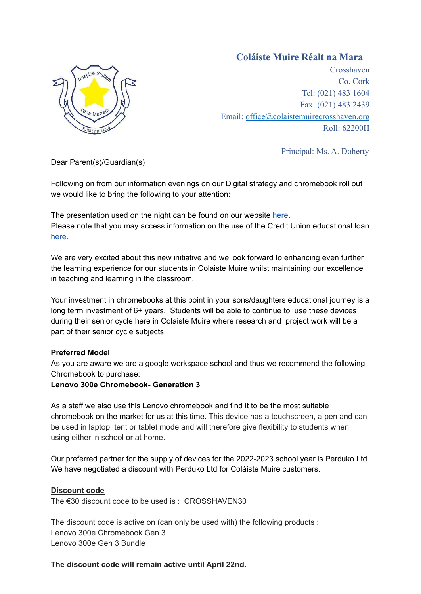# spice Stell

# **Coláiste Muire Réalt na Mara**

Crosshaven Co. Cork Tel: (021) 483 1604 Fax: (021) 483 2439 Email: [office@colaistemuirecrosshaven.org](mailto:office@colaistemuirecrosshaven.org) Roll: 62200H

Principal: Ms. A. Doherty

Dear Parent(s)/Guardian(s)

Following on from our information evenings on our Digital strategy and chromebook roll out we would like to bring the following to your attention:

The presentation used on the night can be found on our website [here](http://colaistemuirecrosshaven.org/wp-content/uploads/2022/03/Chromebook-presentation.pdf). Please note that you may access information on the use of the Credit Union educational loan [here](https://croscarcu.ie/).

We are very excited about this new initiative and we look forward to enhancing even further the learning experience for our students in Colaiste Muire whilst maintaining our excellence in teaching and learning in the classroom.

Your investment in chromebooks at this point in your sons/daughters educational journey is a long term investment of 6+ years. Students will be able to continue to use these devices during their senior cycle here in Colaiste Muire where research and project work will be a part of their senior cycle subjects.

# **Preferred Model**

As you are aware we are a google workspace school and thus we recommend the following Chromebook to purchase:

# **Lenovo 300e Chromebook- Generation 3**

As a staff we also use this Lenovo chromebook and find it to be the most suitable chromebook on the market for us at this time. This device has a touchscreen, a pen and can be used in laptop, tent or tablet mode and will therefore give flexibility to students when using either in school or at home.

Our preferred partner for the supply of devices for the 2022-2023 school year is Perduko Ltd. We have negotiated a discount with Perduko Ltd for Coláiste Muire customers.

# **Discount code**

The €30 discount code to be used is : CROSSHAVEN30

The discount code is active on (can only be used with) the following products : Lenovo 300e Chromebook Gen 3 Lenovo 300e Gen 3 Bundle

# **The discount code will remain active until April 22nd.**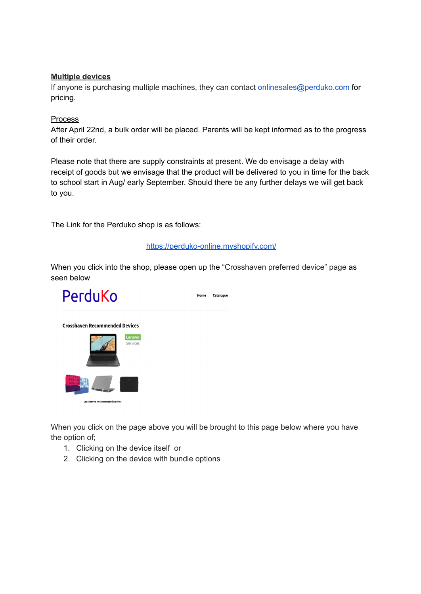## **Multiple devices**

If anyone is purchasing multiple machines, they can contact onlinesales@perduko.com for pricing.

### **Process**

After April 22nd, a bulk order will be placed. Parents will be kept informed as to the progress of their order.

Please note that there are supply constraints at present. We do envisage a delay with receipt of goods but we envisage that the product will be delivered to you in time for the back to school start in Aug/ early September. Should there be any further delays we will get back to you.

The Link for the Perduko shop is as follows:

#### <https://perduko-online.myshopify.com/>

When you click into the shop, please open up the "Crosshaven preferred device" page as seen below



When you click on the page above you will be brought to this page below where you have the option of;

- 1. Clicking on the device itself or
- 2. Clicking on the device with bundle options